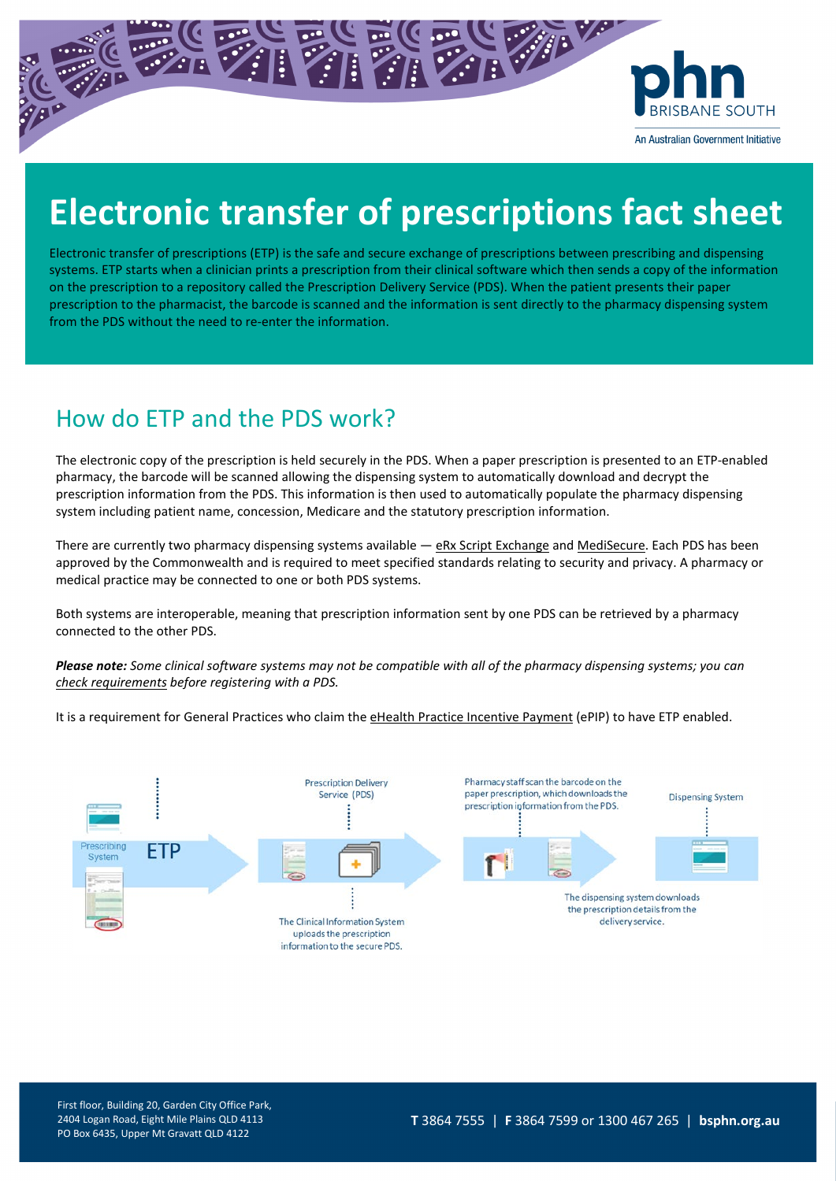

An Australian Government Initiative

# **Electronic transfer of prescriptions fact sheet**

Electronic transfer of prescriptions (ETP) is the safe and secure exchange of prescriptions between prescribing and dispensing systems. ETP starts when a clinician prints a prescription from their clinical software which then sends a copy of the information on the prescription to a repository called the Prescription Delivery Service (PDS). When the patient presents their paper prescription to the pharmacist, the barcode is scanned and the information is sent directly to the pharmacy dispensing system from the PDS without the need to re-enter the information.

# How do ETP and the PDS work?

The electronic copy of the prescription is held securely in the PDS. When a paper prescription is presented to an ETP-enabled pharmacy, the barcode will be scanned allowing the dispensing system to automatically download and decrypt the prescription information from the PDS. This information is then used to automatically populate the pharmacy dispensing system including patient name, concession, Medicare and the statutory prescription information.

There are currently two pharmacy dispensing systems available — [eRx Script Exchange](http://www.erx.com.au/) and [MediSecure.](http://www.medisecure.com.au/) Each PDS has been approved by the Commonwealth and is required to meet specified standards relating to security and privacy. A pharmacy or medical practice may be connected to one or both PDS systems.

Both systems are interoperable, meaning that prescription information sent by one PDS can be retrieved by a pharmacy connected to the other PDS.

*Please note: Some clinical software systems may not be compatible with all of the pharmacy dispensing systems; you can [check requirements](https://epipregister.digitalhealth.gov.au/product-register/registers/electronic-transfer-of-prescriptions) before registering with a PDS.*

It is a requirement for General Practices who claim th[e eHealth Practice Incentive Payment](https://www.myhealthrecord.gov.au/for-healthcare-professionals/epip-incentive-eligibility-requirements) (ePIP) to have ETP enabled.